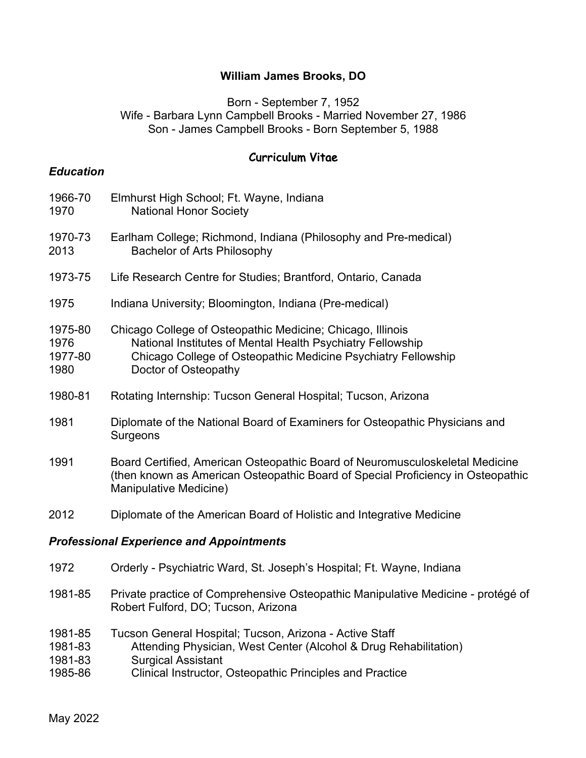### **William James Brooks, DO**

### Born - September 7, 1952 Wife - Barbara Lynn Campbell Brooks - Married November 27, 1986 Son - James Campbell Brooks - Born September 5, 1988

### Curriculum Vitae

### *Education*

- 1966-70 Elmhurst High School; Ft. Wayne, Indiana 1970 National Honor Society 1970-73 Earlham College; Richmond, Indiana (Philosophy and Pre-medical) 2013 Bachelor of Arts Philosophy 1973-75 Life Research Centre for Studies; Brantford, Ontario, Canada 1975 Indiana University; Bloomington, Indiana (Pre-medical) 1975-80 Chicago College of Osteopathic Medicine; Chicago, Illinois 1976 National Institutes of Mental Health Psychiatry Fellowship 1977-80 Chicago College of Osteopathic Medicine Psychiatry Fellowship 1980 Doctor of Osteopathy 1980-81 Rotating Internship: Tucson General Hospital; Tucson, Arizona 1981 Diplomate of the National Board of Examiners for Osteopathic Physicians and **Surgeons** 1991 Board Certified, American Osteopathic Board of Neuromusculoskeletal Medicine (then known as American Osteopathic Board of Special Proficiency in Osteopathic Manipulative Medicine) 2012 Diplomate of the American Board of Holistic and Integrative Medicine *Professional Experience and Appointments* 1972 Orderly - Psychiatric Ward, St. Joseph's Hospital; Ft. Wayne, Indiana 1981-85 Private practice of Comprehensive Osteopathic Manipulative Medicine - protégé of Robert Fulford, DO; Tucson, Arizona
- 1981-85 Tucson General Hospital; Tucson, Arizona Active Staff
- 1981-83 Attending Physician, West Center (Alcohol & Drug Rehabilitation)
- 1981-83 Surgical Assistant
- 1985-86 Clinical Instructor, Osteopathic Principles and Practice

May 2022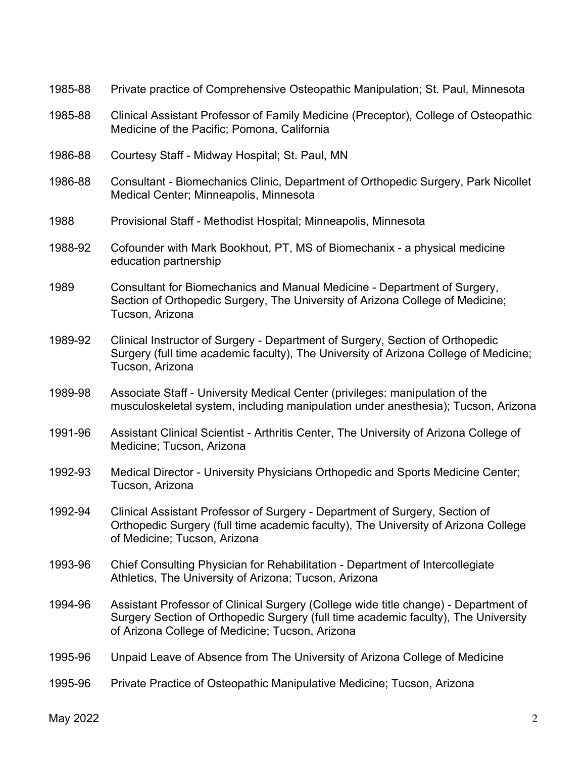| 1985-88 | Private practice of Comprehensive Osteopathic Manipulation; St. Paul, Minnesota                                                                                                                                              |
|---------|------------------------------------------------------------------------------------------------------------------------------------------------------------------------------------------------------------------------------|
| 1985-88 | Clinical Assistant Professor of Family Medicine (Preceptor), College of Osteopathic<br>Medicine of the Pacific; Pomona, California                                                                                           |
| 1986-88 | Courtesy Staff - Midway Hospital; St. Paul, MN                                                                                                                                                                               |
| 1986-88 | Consultant - Biomechanics Clinic, Department of Orthopedic Surgery, Park Nicollet<br>Medical Center; Minneapolis, Minnesota                                                                                                  |
| 1988    | Provisional Staff - Methodist Hospital; Minneapolis, Minnesota                                                                                                                                                               |
| 1988-92 | Cofounder with Mark Bookhout, PT, MS of Biomechanix - a physical medicine<br>education partnership                                                                                                                           |
| 1989    | Consultant for Biomechanics and Manual Medicine - Department of Surgery,<br>Section of Orthopedic Surgery, The University of Arizona College of Medicine;<br>Tucson, Arizona                                                 |
| 1989-92 | Clinical Instructor of Surgery - Department of Surgery, Section of Orthopedic<br>Surgery (full time academic faculty), The University of Arizona College of Medicine;<br>Tucson, Arizona                                     |
| 1989-98 | Associate Staff - University Medical Center (privileges: manipulation of the<br>musculoskeletal system, including manipulation under anesthesia); Tucson, Arizona                                                            |
| 1991-96 | Assistant Clinical Scientist - Arthritis Center, The University of Arizona College of<br>Medicine; Tucson, Arizona                                                                                                           |
| 1992-93 | Medical Director - University Physicians Orthopedic and Sports Medicine Center;<br>Tucson, Arizona                                                                                                                           |
| 1992-94 | Clinical Assistant Professor of Surgery - Department of Surgery, Section of<br>Orthopedic Surgery (full time academic faculty), The University of Arizona College<br>of Medicine; Tucson, Arizona                            |
| 1993-96 | Chief Consulting Physician for Rehabilitation - Department of Intercollegiate<br>Athletics, The University of Arizona; Tucson, Arizona                                                                                       |
| 1994-96 | Assistant Professor of Clinical Surgery (College wide title change) - Department of<br>Surgery Section of Orthopedic Surgery (full time academic faculty), The University<br>of Arizona College of Medicine; Tucson, Arizona |
| 1995-96 | Unpaid Leave of Absence from The University of Arizona College of Medicine                                                                                                                                                   |
| 1995-96 | Private Practice of Osteopathic Manipulative Medicine; Tucson, Arizona                                                                                                                                                       |

May 2022  $\qquad \qquad \qquad$  2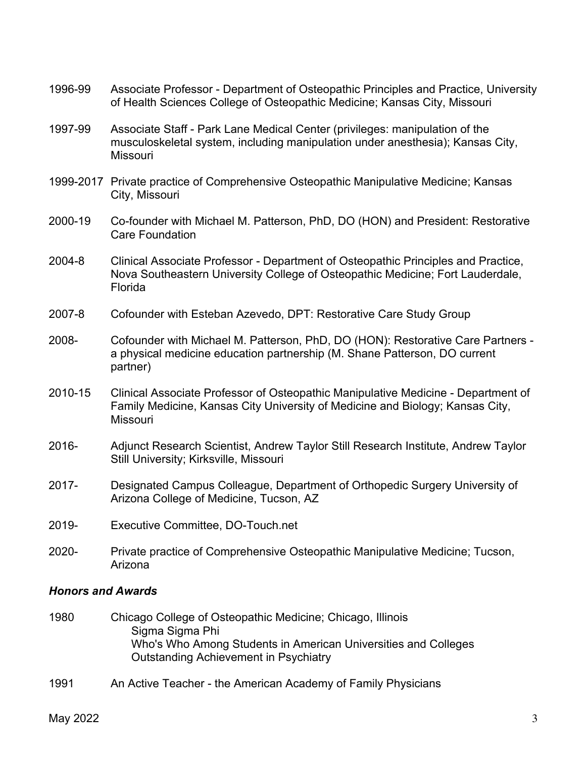1996-99 Associate Professor - Department of Osteopathic Principles and Practice, University of Health Sciences College of Osteopathic Medicine; Kansas City, Missouri 1997-99 Associate Staff - Park Lane Medical Center (privileges: manipulation of the musculoskeletal system, including manipulation under anesthesia); Kansas City, Missouri 1999-2017 Private practice of Comprehensive Osteopathic Manipulative Medicine; Kansas City, Missouri 2000-19 Co-founder with Michael M. Patterson, PhD, DO (HON) and President: Restorative Care Foundation 2004-8 Clinical Associate Professor - Department of Osteopathic Principles and Practice, Nova Southeastern University College of Osteopathic Medicine; Fort Lauderdale, Florida 2007-8 Cofounder with Esteban Azevedo, DPT: Restorative Care Study Group 2008- Cofounder with Michael M. Patterson, PhD, DO (HON): Restorative Care Partners a physical medicine education partnership (M. Shane Patterson, DO current partner) 2010-15 Clinical Associate Professor of Osteopathic Manipulative Medicine - Department of Family Medicine, Kansas City University of Medicine and Biology; Kansas City, **Missouri** 2016- Adjunct Research Scientist, Andrew Taylor Still Research Institute, Andrew Taylor Still University; Kirksville, Missouri 2017- Designated Campus Colleague, Department of Orthopedic Surgery University of Arizona College of Medicine, Tucson, AZ 2019- Executive Committee, DO-Touch.net 2020- Private practice of Comprehensive Osteopathic Manipulative Medicine; Tucson, Arizona

### *Honors and Awards*

- 1980 Chicago College of Osteopathic Medicine; Chicago, Illinois Sigma Sigma Phi Who's Who Among Students in American Universities and Colleges Outstanding Achievement in Psychiatry
- 1991 An Active Teacher the American Academy of Family Physicians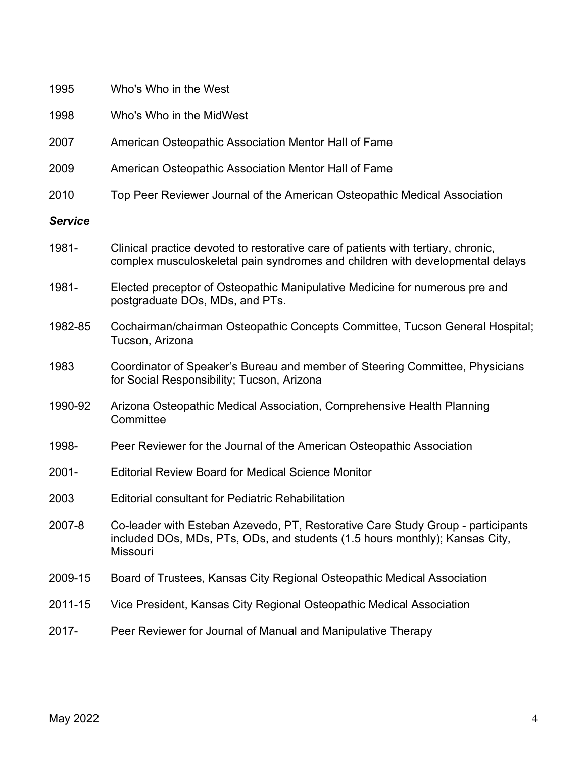| 1995           | Who's Who in the West                                                                                                                                                             |
|----------------|-----------------------------------------------------------------------------------------------------------------------------------------------------------------------------------|
| 1998           | Who's Who in the MidWest                                                                                                                                                          |
| 2007           | American Osteopathic Association Mentor Hall of Fame                                                                                                                              |
| 2009           | American Osteopathic Association Mentor Hall of Fame                                                                                                                              |
| 2010           | Top Peer Reviewer Journal of the American Osteopathic Medical Association                                                                                                         |
| <b>Service</b> |                                                                                                                                                                                   |
| 1981-          | Clinical practice devoted to restorative care of patients with tertiary, chronic,<br>complex musculoskeletal pain syndromes and children with developmental delays                |
| 1981-          | Elected preceptor of Osteopathic Manipulative Medicine for numerous pre and<br>postgraduate DOs, MDs, and PTs.                                                                    |
| 1982-85        | Cochairman/chairman Osteopathic Concepts Committee, Tucson General Hospital;<br>Tucson, Arizona                                                                                   |
| 1983           | Coordinator of Speaker's Bureau and member of Steering Committee, Physicians<br>for Social Responsibility; Tucson, Arizona                                                        |
| 1990-92        | Arizona Osteopathic Medical Association, Comprehensive Health Planning<br>Committee                                                                                               |
| 1998-          | Peer Reviewer for the Journal of the American Osteopathic Association                                                                                                             |
| $2001 -$       | <b>Editorial Review Board for Medical Science Monitor</b>                                                                                                                         |
| 2003           | <b>Editorial consultant for Pediatric Rehabilitation</b>                                                                                                                          |
| 2007-8         | Co-leader with Esteban Azevedo, PT, Restorative Care Study Group - participants<br>included DOs, MDs, PTs, ODs, and students (1.5 hours monthly); Kansas City,<br><b>Missouri</b> |
| 2009-15        | Board of Trustees, Kansas City Regional Osteopathic Medical Association                                                                                                           |
| 2011-15        | Vice President, Kansas City Regional Osteopathic Medical Association                                                                                                              |
| 2017-          | Peer Reviewer for Journal of Manual and Manipulative Therapy                                                                                                                      |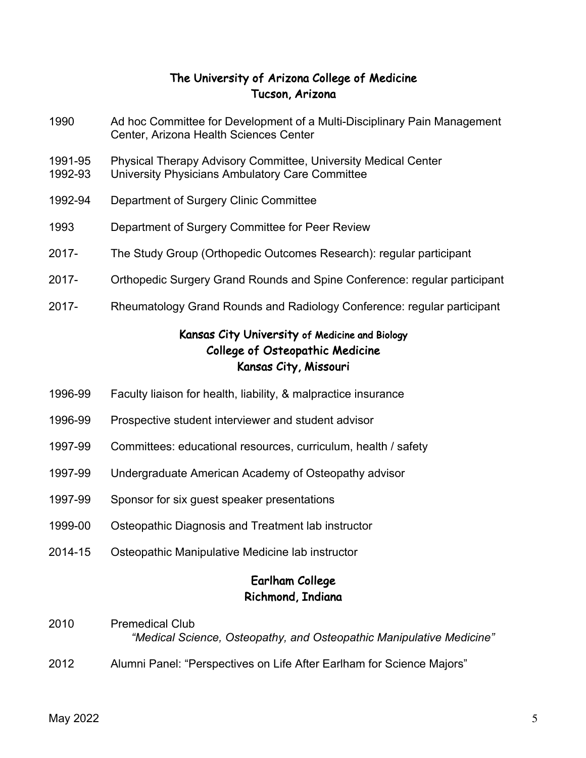## The University of Arizona College of Medicine Tucson, Arizona

- 1990 Ad hoc Committee for Development of a Multi-Disciplinary Pain Management Center, Arizona Health Sciences Center
- 1991-95 Physical Therapy Advisory Committee, University Medical Center
- 1992-93 University Physicians Ambulatory Care Committee
- 1992-94 Department of Surgery Clinic Committee
- 1993 Department of Surgery Committee for Peer Review
- 2017- The Study Group (Orthopedic Outcomes Research): regular participant
- 2017- Orthopedic Surgery Grand Rounds and Spine Conference: regular participant
- 2017- Rheumatology Grand Rounds and Radiology Conference: regular participant

## Kansas City University of Medicine and Biology College of Osteopathic Medicine Kansas City, Missouri

- 1996-99 Faculty liaison for health, liability, & malpractice insurance
- 1996-99 Prospective student interviewer and student advisor
- 1997-99 Committees: educational resources, curriculum, health / safety
- 1997-99 Undergraduate American Academy of Osteopathy advisor
- 1997-99 Sponsor for six guest speaker presentations
- 1999-00 Osteopathic Diagnosis and Treatment lab instructor
- 2014-15 Osteopathic Manipulative Medicine lab instructor

# Earlham College Richmond, Indiana

- 2010 Premedical Club *"Medical Science, Osteopathy, and Osteopathic Manipulative Medicine"*
- 2012 Alumni Panel: "Perspectives on Life After Earlham for Science Majors"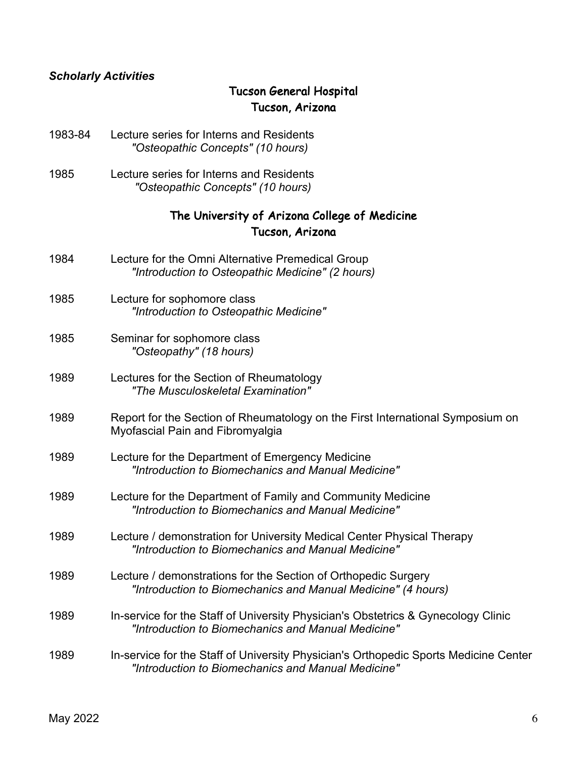### *Scholarly Activities*

# Tucson General Hospital Tucson, Arizona

- 1983-84 Lecture series for Interns and Residents *"Osteopathic Concepts" (10 hours)*
- 1985 Lecture series for Interns and Residents *"Osteopathic Concepts" (10 hours)*

## The University of Arizona College of Medicine Tucson, Arizona

- 1984 Lecture for the Omni Alternative Premedical Group *"Introduction to Osteopathic Medicine" (2 hours)* 1985 Lecture for sophomore class *"Introduction to Osteopathic Medicine"* 1985 Seminar for sophomore class *"Osteopathy" (18 hours)* 1989 Lectures for the Section of Rheumatology *"The Musculoskeletal Examination"* 1989 Report for the Section of Rheumatology on the First International Symposium on Myofascial Pain and Fibromyalgia 1989 Lecture for the Department of Emergency Medicine *"Introduction to Biomechanics and Manual Medicine"* 1989 Lecture for the Department of Family and Community Medicine *"Introduction to Biomechanics and Manual Medicine"* 1989 Lecture / demonstration for University Medical Center Physical Therapy *"Introduction to Biomechanics and Manual Medicine"* 1989 Lecture / demonstrations for the Section of Orthopedic Surgery *"Introduction to Biomechanics and Manual Medicine" (4 hours)* 1989 In-service for the Staff of University Physician's Obstetrics & Gynecology Clinic *"Introduction to Biomechanics and Manual Medicine"*
- 1989 In-service for the Staff of University Physician's Orthopedic Sports Medicine Center *"Introduction to Biomechanics and Manual Medicine"*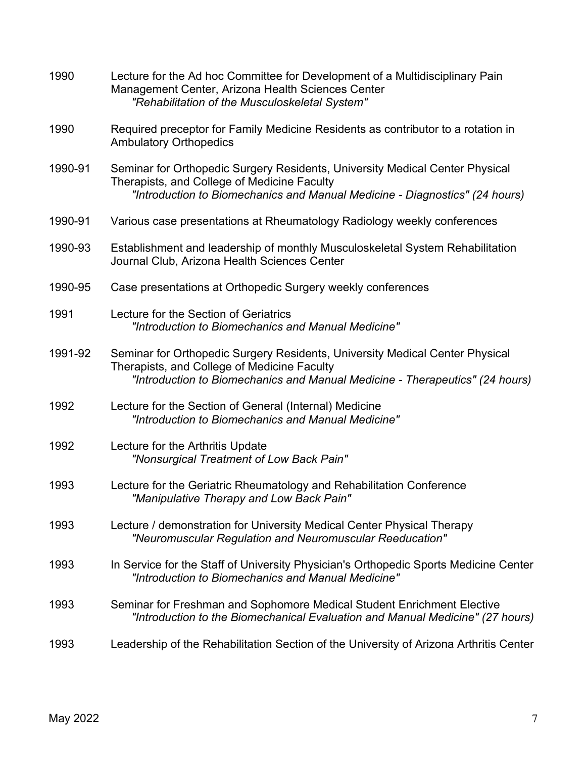| 1990    | Lecture for the Ad hoc Committee for Development of a Multidisciplinary Pain<br>Management Center, Arizona Health Sciences Center<br>"Rehabilitation of the Musculoskeletal System"                         |
|---------|-------------------------------------------------------------------------------------------------------------------------------------------------------------------------------------------------------------|
| 1990    | Required preceptor for Family Medicine Residents as contributor to a rotation in<br><b>Ambulatory Orthopedics</b>                                                                                           |
| 1990-91 | Seminar for Orthopedic Surgery Residents, University Medical Center Physical<br>Therapists, and College of Medicine Faculty<br>"Introduction to Biomechanics and Manual Medicine - Diagnostics" (24 hours)  |
| 1990-91 | Various case presentations at Rheumatology Radiology weekly conferences                                                                                                                                     |
| 1990-93 | Establishment and leadership of monthly Musculoskeletal System Rehabilitation<br>Journal Club, Arizona Health Sciences Center                                                                               |
| 1990-95 | Case presentations at Orthopedic Surgery weekly conferences                                                                                                                                                 |
| 1991    | Lecture for the Section of Geriatrics<br>"Introduction to Biomechanics and Manual Medicine"                                                                                                                 |
| 1991-92 | Seminar for Orthopedic Surgery Residents, University Medical Center Physical<br>Therapists, and College of Medicine Faculty<br>"Introduction to Biomechanics and Manual Medicine - Therapeutics" (24 hours) |
| 1992    | Lecture for the Section of General (Internal) Medicine<br>"Introduction to Biomechanics and Manual Medicine"                                                                                                |
| 1992    | Lecture for the Arthritis Update<br>"Nonsurgical Treatment of Low Back Pain"                                                                                                                                |
| 1993    | Lecture for the Geriatric Rheumatology and Rehabilitation Conference<br>"Manipulative Therapy and Low Back Pain"                                                                                            |
| 1993    | Lecture / demonstration for University Medical Center Physical Therapy<br>"Neuromuscular Regulation and Neuromuscular Reeducation"                                                                          |
| 1993    | In Service for the Staff of University Physician's Orthopedic Sports Medicine Center<br>"Introduction to Biomechanics and Manual Medicine"                                                                  |
| 1993    | Seminar for Freshman and Sophomore Medical Student Enrichment Elective<br>"Introduction to the Biomechanical Evaluation and Manual Medicine" (27 hours)                                                     |
| 1993    | Leadership of the Rehabilitation Section of the University of Arizona Arthritis Center                                                                                                                      |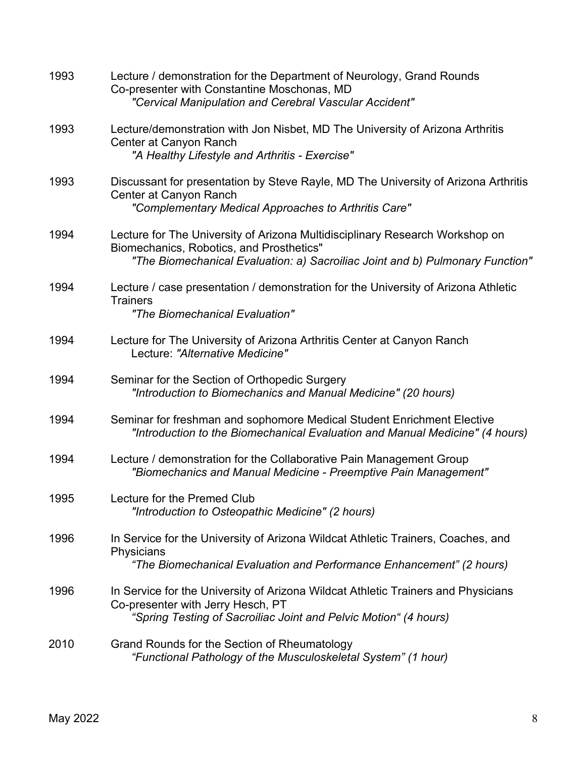| 1993 | Lecture / demonstration for the Department of Neurology, Grand Rounds<br>Co-presenter with Constantine Moschonas, MD<br>"Cervical Manipulation and Cerebral Vascular Accident"                            |
|------|-----------------------------------------------------------------------------------------------------------------------------------------------------------------------------------------------------------|
| 1993 | Lecture/demonstration with Jon Nisbet, MD The University of Arizona Arthritis<br>Center at Canyon Ranch<br>"A Healthy Lifestyle and Arthritis - Exercise"                                                 |
| 1993 | Discussant for presentation by Steve Rayle, MD The University of Arizona Arthritis<br>Center at Canyon Ranch<br>"Complementary Medical Approaches to Arthritis Care"                                      |
| 1994 | Lecture for The University of Arizona Multidisciplinary Research Workshop on<br>Biomechanics, Robotics, and Prosthetics"<br>"The Biomechanical Evaluation: a) Sacroiliac Joint and b) Pulmonary Function" |
| 1994 | Lecture / case presentation / demonstration for the University of Arizona Athletic<br><b>Trainers</b><br>"The Biomechanical Evaluation"                                                                   |
| 1994 | Lecture for The University of Arizona Arthritis Center at Canyon Ranch<br>Lecture: "Alternative Medicine"                                                                                                 |
| 1994 | Seminar for the Section of Orthopedic Surgery<br>"Introduction to Biomechanics and Manual Medicine" (20 hours)                                                                                            |
| 1994 | Seminar for freshman and sophomore Medical Student Enrichment Elective<br>"Introduction to the Biomechanical Evaluation and Manual Medicine" (4 hours)                                                    |
| 1994 | Lecture / demonstration for the Collaborative Pain Management Group<br>"Biomechanics and Manual Medicine - Preemptive Pain Management"                                                                    |
| 1995 | Lecture for the Premed Club<br>"Introduction to Osteopathic Medicine" (2 hours)                                                                                                                           |
| 1996 | In Service for the University of Arizona Wildcat Athletic Trainers, Coaches, and<br>Physicians<br>"The Biomechanical Evaluation and Performance Enhancement" (2 hours)                                    |
| 1996 | In Service for the University of Arizona Wildcat Athletic Trainers and Physicians<br>Co-presenter with Jerry Hesch, PT<br>"Spring Testing of Sacroiliac Joint and Pelvic Motion" (4 hours)                |
| 2010 | Grand Rounds for the Section of Rheumatology<br>"Functional Pathology of the Musculoskeletal System" (1 hour)                                                                                             |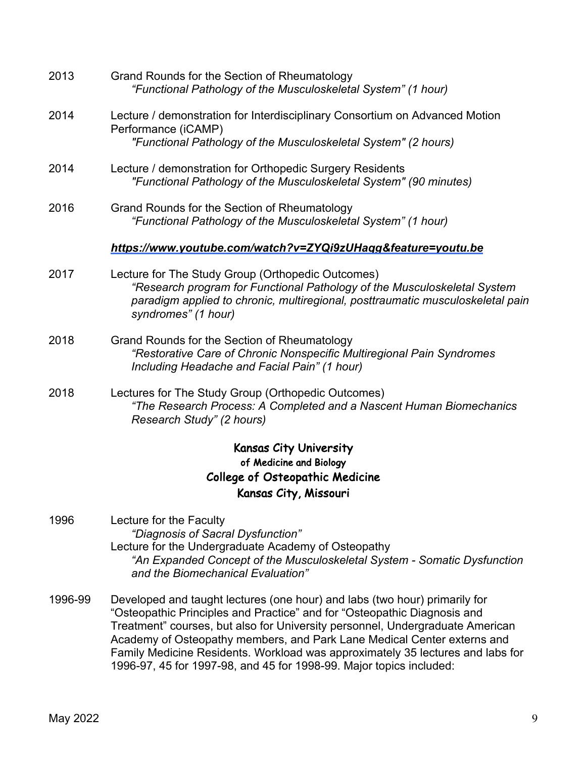| 2013 | Grand Rounds for the Section of Rheumatology<br>"Functional Pathology of the Musculoskeletal System" (1 hour)                                                                                                                          |
|------|----------------------------------------------------------------------------------------------------------------------------------------------------------------------------------------------------------------------------------------|
| 2014 | Lecture / demonstration for Interdisciplinary Consortium on Advanced Motion<br>Performance (iCAMP)                                                                                                                                     |
|      | "Functional Pathology of the Musculoskeletal System" (2 hours)                                                                                                                                                                         |
| 2014 | Lecture / demonstration for Orthopedic Surgery Residents<br>"Functional Pathology of the Musculoskeletal System" (90 minutes)                                                                                                          |
| 2016 | Grand Rounds for the Section of Rheumatology<br>"Functional Pathology of the Musculoskeletal System" (1 hour)                                                                                                                          |
|      | https://www.youtube.com/watch?v=ZYQi9zUHaqg&feature=youtu.be                                                                                                                                                                           |
| 2017 | Lecture for The Study Group (Orthopedic Outcomes)<br>"Research program for Functional Pathology of the Musculoskeletal System<br>paradigm applied to chronic, multiregional, posttraumatic musculoskeletal pain<br>syndromes" (1 hour) |
| 2018 | Grand Rounds for the Section of Rheumatology<br>"Restorative Care of Chronic Nonspecific Multiregional Pain Syndromes<br>Including Headache and Facial Pain" (1 hour)                                                                  |
| 2018 | Lectures for The Study Group (Orthopedic Outcomes)<br>"The Research Process: A Completed and a Nascent Human Biomechanics<br>Research Study" (2 hours)                                                                                 |
|      | <b>Kansas City University</b><br>of Medicine and Biology                                                                                                                                                                               |
|      | <b>College of Osteopathic Medicine</b>                                                                                                                                                                                                 |
|      | Kansas City, Missouri                                                                                                                                                                                                                  |
| 1996 | Lecture for the Faculty<br>"Diagnosis of Sacral Dysfunction"<br>Lecture for the Undergraduate Academy of Osteopathy                                                                                                                    |

- *"An Expanded Concept of the Musculoskeletal System - Somatic Dysfunction and the Biomechanical Evaluation"*
- 1996-99 Developed and taught lectures (one hour) and labs (two hour) primarily for "Osteopathic Principles and Practice" and for "Osteopathic Diagnosis and Treatment" courses, but also for University personnel, Undergraduate American Academy of Osteopathy members, and Park Lane Medical Center externs and Family Medicine Residents. Workload was approximately 35 lectures and labs for 1996-97, 45 for 1997-98, and 45 for 1998-99. Major topics included: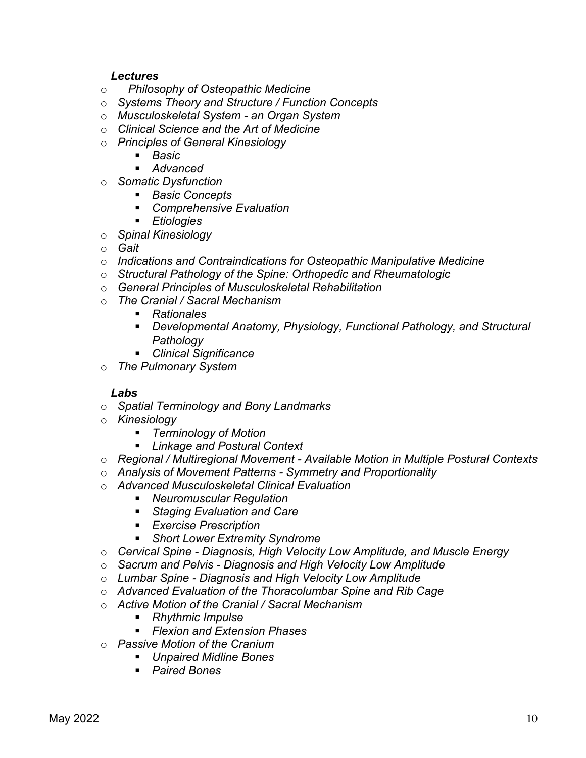### *Lectures*

- o *Philosophy of Osteopathic Medicine*
- o *Systems Theory and Structure / Function Concepts*
- o *Musculoskeletal System - an Organ System*
- o *Clinical Science and the Art of Medicine*
- o *Principles of General Kinesiology*
	- *Basic*
	- § *Advanced*
- o *Somatic Dysfunction*
	- *Basic Concepts*
	- Comprehensive Evaluation
	- § *Etiologies*
- o *Spinal Kinesiology*
- o *Gait*
- o *Indications and Contraindications for Osteopathic Manipulative Medicine*
- o *Structural Pathology of the Spine: Orthopedic and Rheumatologic*
- o *General Principles of Musculoskeletal Rehabilitation*
- o *The Cranial / Sacral Mechanism*
	- *Rationales*
	- § *Developmental Anatomy, Physiology, Functional Pathology, and Structural Pathology*
	- § *Clinical Significance*
- o *The Pulmonary System*

## *Labs*

- o *Spatial Terminology and Bony Landmarks*
- o *Kinesiology*
	- § *Terminology of Motion*
	- § *Linkage and Postural Context*
- o *Regional / Multiregional Movement - Available Motion in Multiple Postural Contexts*
- o *Analysis of Movement Patterns - Symmetry and Proportionality*
- o *Advanced Musculoskeletal Clinical Evaluation*
	- § *Neuromuscular Regulation*
	- Staging Evaluation and Care
	- § *Exercise Prescription*
	- Short Lower Extremity Syndrome
- o *Cervical Spine - Diagnosis, High Velocity Low Amplitude, and Muscle Energy*
- o *Sacrum and Pelvis - Diagnosis and High Velocity Low Amplitude*
- o *Lumbar Spine - Diagnosis and High Velocity Low Amplitude*
- o *Advanced Evaluation of the Thoracolumbar Spine and Rib Cage*
- o *Active Motion of the Cranial / Sacral Mechanism*
	- *Rhythmic Impulse*
	- § *Flexion and Extension Phases*
- o *Passive Motion of the Cranium*
	- § *Unpaired Midline Bones*
		- § *Paired Bones*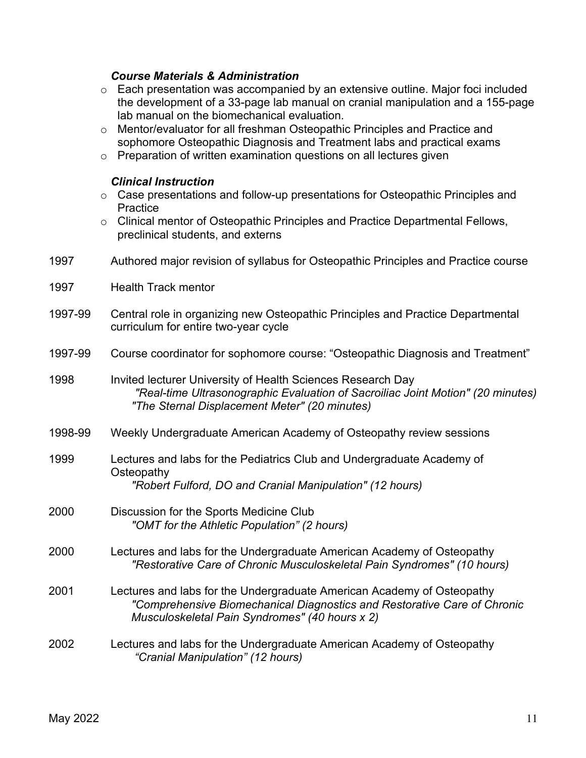## *Course Materials & Administration*

|         | Each presentation was accompanied by an extensive outline. Major foci included<br>$\circ$<br>the development of a 33-page lab manual on cranial manipulation and a 155-page<br>lab manual on the biomechanical evaluation.     |
|---------|--------------------------------------------------------------------------------------------------------------------------------------------------------------------------------------------------------------------------------|
|         | Mentor/evaluator for all freshman Osteopathic Principles and Practice and<br>$\circ$<br>sophomore Osteopathic Diagnosis and Treatment labs and practical exams                                                                 |
|         | Preparation of written examination questions on all lectures given<br>$\circ$                                                                                                                                                  |
|         | <b>Clinical Instruction</b><br>Case presentations and follow-up presentations for Osteopathic Principles and<br>$\circ$<br>Practice<br>Clinical mentor of Osteopathic Principles and Practice Departmental Fellows,<br>$\circ$ |
|         | preclinical students, and externs                                                                                                                                                                                              |
| 1997    | Authored major revision of syllabus for Osteopathic Principles and Practice course                                                                                                                                             |
| 1997    | <b>Health Track mentor</b>                                                                                                                                                                                                     |
| 1997-99 | Central role in organizing new Osteopathic Principles and Practice Departmental<br>curriculum for entire two-year cycle                                                                                                        |
| 1997-99 | Course coordinator for sophomore course: "Osteopathic Diagnosis and Treatment"                                                                                                                                                 |
| 1998    | Invited lecturer University of Health Sciences Research Day<br>"Real-time Ultrasonographic Evaluation of Sacroiliac Joint Motion" (20 minutes)<br>"The Sternal Displacement Meter" (20 minutes)                                |
| 1998-99 | Weekly Undergraduate American Academy of Osteopathy review sessions                                                                                                                                                            |
| 1999    | Lectures and labs for the Pediatrics Club and Undergraduate Academy of                                                                                                                                                         |
|         | Osteopathy<br>"Robert Fulford, DO and Cranial Manipulation" (12 hours)                                                                                                                                                         |
| 2000    | Discussion for the Sports Medicine Club<br>"OMT for the Athletic Population" (2 hours)                                                                                                                                         |
| 2000    | Lectures and labs for the Undergraduate American Academy of Osteopathy<br>"Restorative Care of Chronic Musculoskeletal Pain Syndromes" (10 hours)                                                                              |
| 2001    | Lectures and labs for the Undergraduate American Academy of Osteopathy<br>"Comprehensive Biomechanical Diagnostics and Restorative Care of Chronic<br>Musculoskeletal Pain Syndromes" (40 hours x 2)                           |
| 2002    | Lectures and labs for the Undergraduate American Academy of Osteopathy<br>"Cranial Manipulation" (12 hours)                                                                                                                    |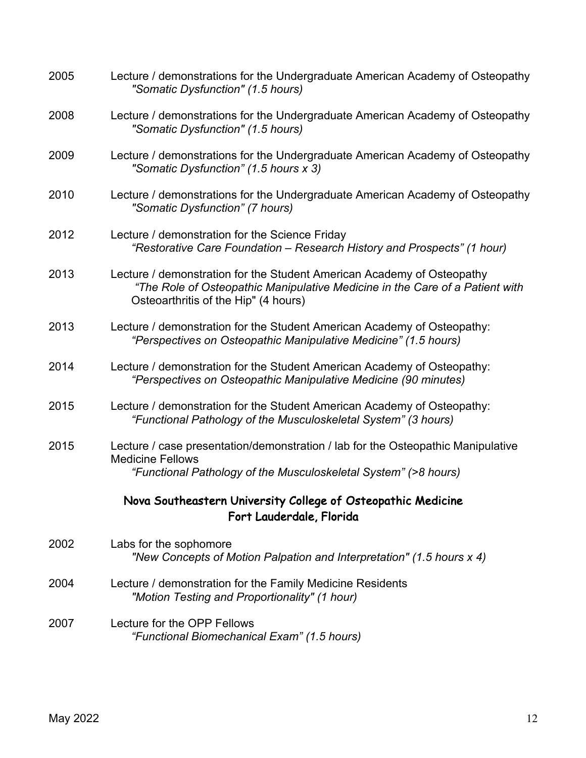| 2005 | Lecture / demonstrations for the Undergraduate American Academy of Osteopathy<br>"Somatic Dysfunction" (1.5 hours)                                                                             |
|------|------------------------------------------------------------------------------------------------------------------------------------------------------------------------------------------------|
| 2008 | Lecture / demonstrations for the Undergraduate American Academy of Osteopathy<br>"Somatic Dysfunction" (1.5 hours)                                                                             |
| 2009 | Lecture / demonstrations for the Undergraduate American Academy of Osteopathy<br>"Somatic Dysfunction" (1.5 hours x 3)                                                                         |
| 2010 | Lecture / demonstrations for the Undergraduate American Academy of Osteopathy<br>"Somatic Dysfunction" (7 hours)                                                                               |
| 2012 | Lecture / demonstration for the Science Friday<br>"Restorative Care Foundation - Research History and Prospects" (1 hour)                                                                      |
| 2013 | Lecture / demonstration for the Student American Academy of Osteopathy<br>"The Role of Osteopathic Manipulative Medicine in the Care of a Patient with<br>Osteoarthritis of the Hip" (4 hours) |
| 2013 | Lecture / demonstration for the Student American Academy of Osteopathy:<br>"Perspectives on Osteopathic Manipulative Medicine" (1.5 hours)                                                     |
| 2014 | Lecture / demonstration for the Student American Academy of Osteopathy:<br>"Perspectives on Osteopathic Manipulative Medicine (90 minutes)                                                     |
| 2015 | Lecture / demonstration for the Student American Academy of Osteopathy:<br>"Functional Pathology of the Musculoskeletal System" (3 hours)                                                      |
| 2015 | Lecture / case presentation/demonstration / lab for the Osteopathic Manipulative<br><b>Medicine Fellows</b>                                                                                    |
|      | "Functional Pathology of the Musculoskeletal System" (>8 hours)                                                                                                                                |
|      | Nova Southeastern University College of Osteopathic Medicine<br>Fort Lauderdale, Florida                                                                                                       |
| 2002 | Labs for the sophomore<br>"New Concepts of Motion Palpation and Interpretation" (1.5 hours x 4)                                                                                                |
| 2004 | Lecture / demonstration for the Family Medicine Residents<br>"Motion Testing and Proportionality" (1 hour)                                                                                     |
| 2007 | Lecture for the OPP Fellows<br>"Functional Biomechanical Exam" (1.5 hours)                                                                                                                     |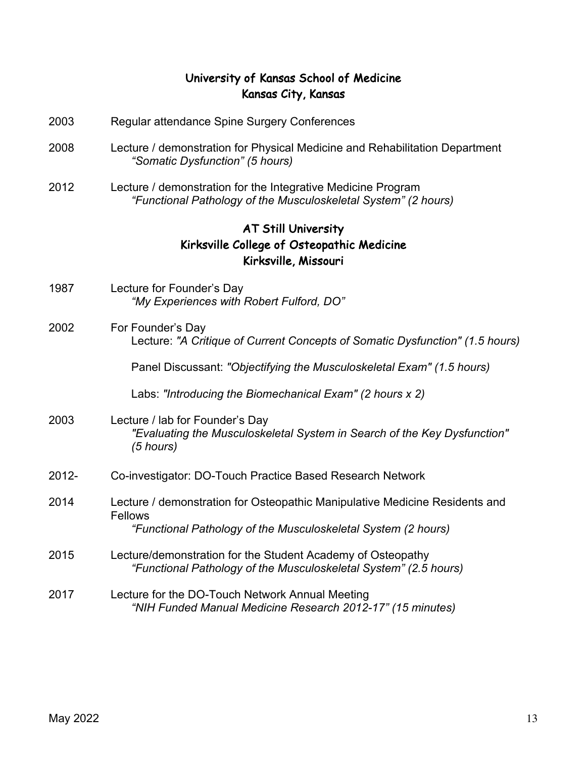## University of Kansas School of Medicine Kansas City, Kansas

- 2003 Regular attendance Spine Surgery Conferences
- 2008 Lecture / demonstration for Physical Medicine and Rehabilitation Department *"Somatic Dysfunction" (5 hours)*
- 2012 Lecture / demonstration for the Integrative Medicine Program *"Functional Pathology of the Musculoskeletal System" (2 hours)*

# AT Still University Kirksville College of Osteopathic Medicine Kirksville, Missouri

- 1987 Lecture for Founder's Day *"My Experiences with Robert Fulford, DO"*
- 2002 For Founder's Day Lecture: *"A Critique of Current Concepts of Somatic Dysfunction" (1.5 hours)*

Panel Discussant: *"Objectifying the Musculoskeletal Exam" (1.5 hours)*

Labs: *"Introducing the Biomechanical Exam" (2 hours x 2)*

### 2003 Lecture / lab for Founder's Day *"Evaluating the Musculoskeletal System in Search of the Key Dysfunction" (5 hours)*

- 2012- Co-investigator: DO-Touch Practice Based Research Network
- 2014 Lecture / demonstration for Osteopathic Manipulative Medicine Residents and Fellows *"Functional Pathology of the Musculoskeletal System (2 hours)*
- 2015 Lecture/demonstration for the Student Academy of Osteopathy *"Functional Pathology of the Musculoskeletal System" (2.5 hours)*
- 2017 Lecture for the DO-Touch Network Annual Meeting *"NIH Funded Manual Medicine Research 2012-17" (15 minutes)*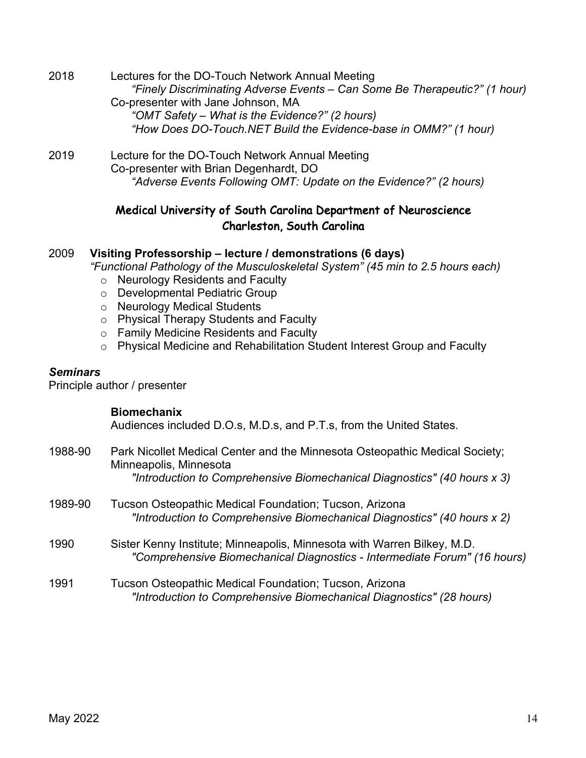| 2018 | Lectures for the DO-Touch Network Annual Meeting                           |
|------|----------------------------------------------------------------------------|
|      | "Finely Discriminating Adverse Events - Can Some Be Therapeutic?" (1 hour) |
|      | Co-presenter with Jane Johnson, MA                                         |
|      | "OMT Safety - What is the Evidence?" (2 hours)                             |
|      | "How Does DO-Touch.NET Build the Evidence-base in OMM?" (1 hour)           |
| 2019 | Lecture for the DO-Touch Network Annual Meeting                            |
|      | Co-presenter with Brian Degenhardt, DO                                     |
|      | "Adverse Events Following OMT: Update on the Evidence?" (2 hours)          |

## Medical University of South Carolina Department of Neuroscience Charleston, South Carolina

#### 2009 **Visiting Professorship – lecture / demonstrations (6 days)**

*"Functional Pathology of the Musculoskeletal System" (45 min to 2.5 hours each)*

- o Neurology Residents and Faculty
- o Developmental Pediatric Group
- o Neurology Medical Students
- o Physical Therapy Students and Faculty
- o Family Medicine Residents and Faculty
- o Physical Medicine and Rehabilitation Student Interest Group and Faculty

#### *Seminars*

Principle author / presenter

#### **Biomechanix**

Audiences included D.O.s, M.D.s, and P.T.s, from the United States.

- 1988-90 Park Nicollet Medical Center and the Minnesota Osteopathic Medical Society; Minneapolis, Minnesota *"Introduction to Comprehensive Biomechanical Diagnostics" (40 hours x 3)*
- 1989-90 Tucson Osteopathic Medical Foundation; Tucson, Arizona *"Introduction to Comprehensive Biomechanical Diagnostics" (40 hours x 2)*
- 1990 Sister Kenny Institute; Minneapolis, Minnesota with Warren Bilkey, M.D. *"Comprehensive Biomechanical Diagnostics - Intermediate Forum" (16 hours)*

#### 1991 Tucson Osteopathic Medical Foundation; Tucson, Arizona *"Introduction to Comprehensive Biomechanical Diagnostics" (28 hours)*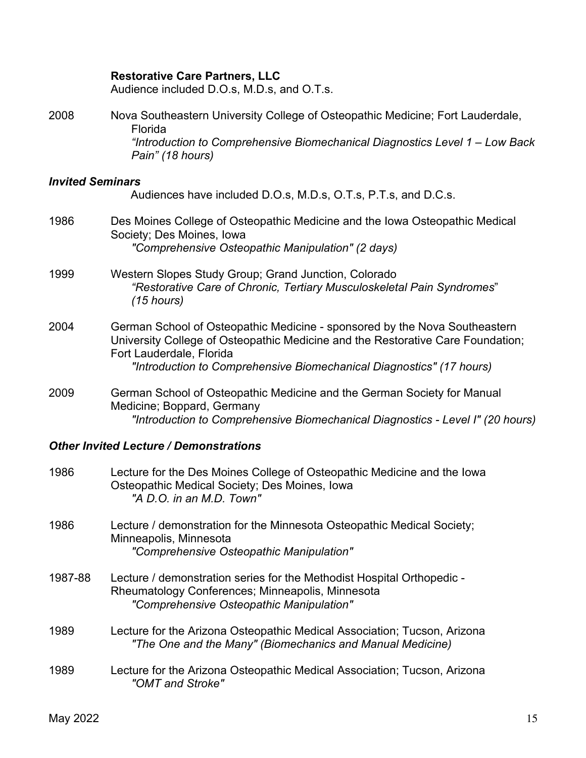### **Restorative Care Partners, LLC**

Audience included D.O.s, M.D.s, and O.T.s.

| 2008                    | Nova Southeastern University College of Osteopathic Medicine; Fort Lauderdale,<br>Florida<br>"Introduction to Comprehensive Biomechanical Diagnostics Level 1 - Low Back<br>Pain" (18 hours)                                                                      |
|-------------------------|-------------------------------------------------------------------------------------------------------------------------------------------------------------------------------------------------------------------------------------------------------------------|
| <b>Invited Seminars</b> | Audiences have included D.O.s, M.D.s, O.T.s, P.T.s, and D.C.s.                                                                                                                                                                                                    |
| 1986                    | Des Moines College of Osteopathic Medicine and the Iowa Osteopathic Medical<br>Society; Des Moines, Iowa<br>"Comprehensive Osteopathic Manipulation" (2 days)                                                                                                     |
| 1999                    | Western Slopes Study Group; Grand Junction, Colorado<br>"Restorative Care of Chronic, Tertiary Musculoskeletal Pain Syndromes"<br>$(15$ hours)                                                                                                                    |
| 2004                    | German School of Osteopathic Medicine - sponsored by the Nova Southeastern<br>University College of Osteopathic Medicine and the Restorative Care Foundation;<br>Fort Lauderdale, Florida<br>"Introduction to Comprehensive Biomechanical Diagnostics" (17 hours) |
| 2009                    | German School of Osteopathic Medicine and the German Society for Manual<br>Medicine; Boppard, Germany<br>"Introduction to Comprehensive Biomechanical Diagnostics - Level I" (20 hours)                                                                           |

# *Other Invited Lecture / Demonstrations*

| 1986    | Lecture for the Des Moines College of Osteopathic Medicine and the lowa<br>Osteopathic Medical Society; Des Moines, Iowa<br>"A D.O. in an M.D. Town"                   |
|---------|------------------------------------------------------------------------------------------------------------------------------------------------------------------------|
| 1986    | Lecture / demonstration for the Minnesota Osteopathic Medical Society;<br>Minneapolis, Minnesota<br>"Comprehensive Osteopathic Manipulation"                           |
| 1987-88 | Lecture / demonstration series for the Methodist Hospital Orthopedic -<br>Rheumatology Conferences; Minneapolis, Minnesota<br>"Comprehensive Osteopathic Manipulation" |
| 1989    | Lecture for the Arizona Osteopathic Medical Association; Tucson, Arizona<br>"The One and the Many" (Biomechanics and Manual Medicine)                                  |
| 1989    | Lecture for the Arizona Osteopathic Medical Association; Tucson, Arizona<br>"OMT and Stroke"                                                                           |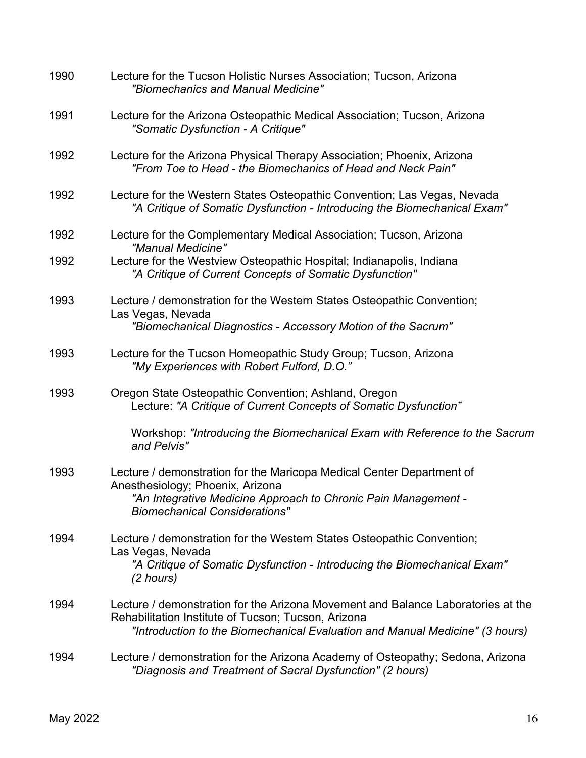| 1990 | Lecture for the Tucson Holistic Nurses Association; Tucson, Arizona<br>"Biomechanics and Manual Medicine"                                                                                                               |
|------|-------------------------------------------------------------------------------------------------------------------------------------------------------------------------------------------------------------------------|
| 1991 | Lecture for the Arizona Osteopathic Medical Association; Tucson, Arizona<br>"Somatic Dysfunction - A Critique"                                                                                                          |
| 1992 | Lecture for the Arizona Physical Therapy Association; Phoenix, Arizona<br>"From Toe to Head - the Biomechanics of Head and Neck Pain"                                                                                   |
| 1992 | Lecture for the Western States Osteopathic Convention; Las Vegas, Nevada<br>"A Critique of Somatic Dysfunction - Introducing the Biomechanical Exam"                                                                    |
| 1992 | Lecture for the Complementary Medical Association; Tucson, Arizona<br>"Manual Medicine"                                                                                                                                 |
| 1992 | Lecture for the Westview Osteopathic Hospital; Indianapolis, Indiana<br>"A Critique of Current Concepts of Somatic Dysfunction"                                                                                         |
| 1993 | Lecture / demonstration for the Western States Osteopathic Convention;<br>Las Vegas, Nevada<br>"Biomechanical Diagnostics - Accessory Motion of the Sacrum"                                                             |
| 1993 | Lecture for the Tucson Homeopathic Study Group; Tucson, Arizona<br>"My Experiences with Robert Fulford, D.O."                                                                                                           |
| 1993 | Oregon State Osteopathic Convention; Ashland, Oregon<br>Lecture: "A Critique of Current Concepts of Somatic Dysfunction"                                                                                                |
|      | Workshop: "Introducing the Biomechanical Exam with Reference to the Sacrum<br>and Pelvis"                                                                                                                               |
| 1993 | Lecture / demonstration for the Maricopa Medical Center Department of<br>Anesthesiology; Phoenix, Arizona                                                                                                               |
|      | "An Integrative Medicine Approach to Chronic Pain Management -<br><b>Biomechanical Considerations"</b>                                                                                                                  |
| 1994 | Lecture / demonstration for the Western States Osteopathic Convention;<br>Las Vegas, Nevada                                                                                                                             |
|      | "A Critique of Somatic Dysfunction - Introducing the Biomechanical Exam"<br>(2 hours)                                                                                                                                   |
| 1994 | Lecture / demonstration for the Arizona Movement and Balance Laboratories at the<br>Rehabilitation Institute of Tucson; Tucson, Arizona<br>"Introduction to the Biomechanical Evaluation and Manual Medicine" (3 hours) |
| 1994 | Lecture / demonstration for the Arizona Academy of Osteopathy; Sedona, Arizona<br>"Diagnosis and Treatment of Sacral Dysfunction" (2 hours)                                                                             |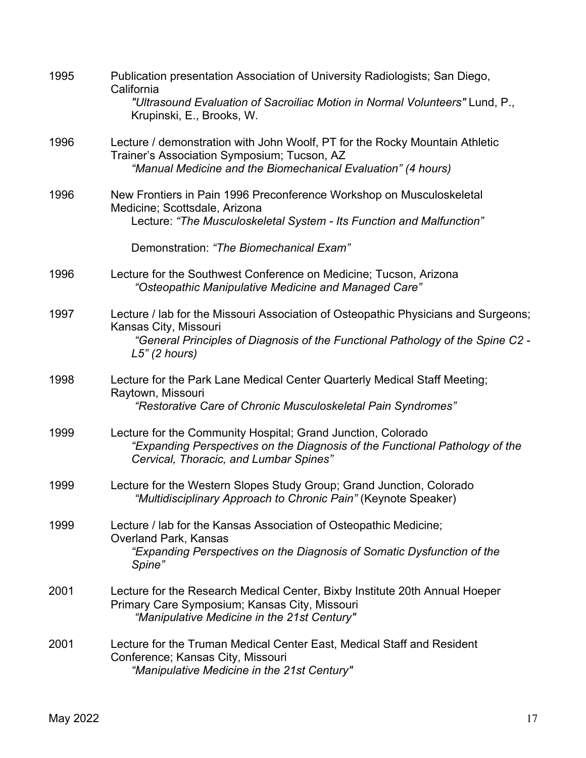| 1995 | Publication presentation Association of University Radiologists; San Diego,<br>California<br>"Ultrasound Evaluation of Sacroiliac Motion in Normal Volunteers" Lund, P.,              |
|------|---------------------------------------------------------------------------------------------------------------------------------------------------------------------------------------|
|      | Krupinski, E., Brooks, W.                                                                                                                                                             |
| 1996 | Lecture / demonstration with John Woolf, PT for the Rocky Mountain Athletic<br>Trainer's Association Symposium; Tucson, AZ                                                            |
|      | "Manual Medicine and the Biomechanical Evaluation" (4 hours)                                                                                                                          |
| 1996 | New Frontiers in Pain 1996 Preconference Workshop on Musculoskeletal<br>Medicine; Scottsdale, Arizona                                                                                 |
|      | Lecture: "The Musculoskeletal System - Its Function and Malfunction"                                                                                                                  |
|      | Demonstration: "The Biomechanical Exam"                                                                                                                                               |
| 1996 | Lecture for the Southwest Conference on Medicine; Tucson, Arizona<br>"Osteopathic Manipulative Medicine and Managed Care"                                                             |
| 1997 | Lecture / lab for the Missouri Association of Osteopathic Physicians and Surgeons;<br>Kansas City, Missouri                                                                           |
|      | "General Principles of Diagnosis of the Functional Pathology of the Spine C2 -<br>$L5$ " (2 hours)                                                                                    |
| 1998 | Lecture for the Park Lane Medical Center Quarterly Medical Staff Meeting;<br>Raytown, Missouri                                                                                        |
|      | "Restorative Care of Chronic Musculoskeletal Pain Syndromes"                                                                                                                          |
| 1999 | Lecture for the Community Hospital; Grand Junction, Colorado<br>"Expanding Perspectives on the Diagnosis of the Functional Pathology of the<br>Cervical, Thoracic, and Lumbar Spines" |
| 1999 | Lecture for the Western Slopes Study Group; Grand Junction, Colorado<br>"Multidisciplinary Approach to Chronic Pain" (Keynote Speaker)                                                |
| 1999 | Lecture / lab for the Kansas Association of Osteopathic Medicine;<br>Overland Park, Kansas                                                                                            |
|      | "Expanding Perspectives on the Diagnosis of Somatic Dysfunction of the<br>Spine"                                                                                                      |
| 2001 | Lecture for the Research Medical Center, Bixby Institute 20th Annual Hoeper<br>Primary Care Symposium; Kansas City, Missouri<br>"Manipulative Medicine in the 21st Century"           |
| 2001 | Lecture for the Truman Medical Center East, Medical Staff and Resident<br>Conference; Kansas City, Missouri<br>"Manipulative Medicine in the 21st Century"                            |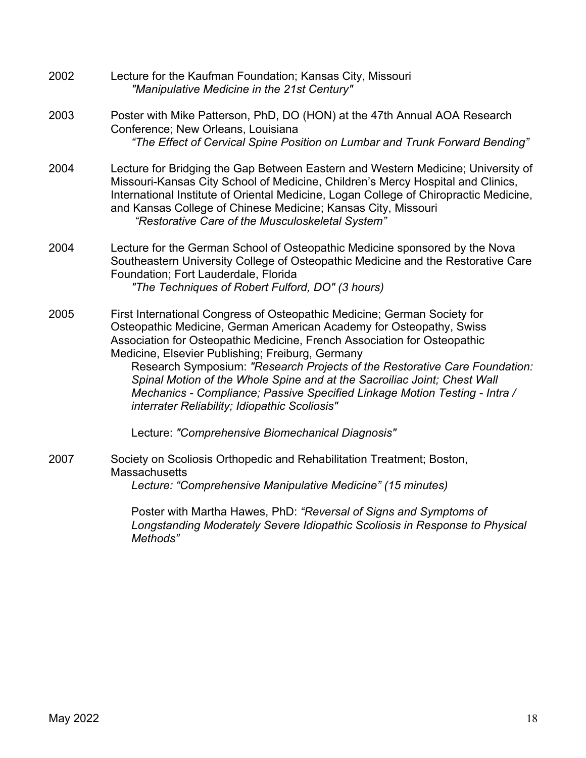2002 Lecture for the Kaufman Foundation; Kansas City, Missouri *"Manipulative Medicine in the 21st Century"* 2003 Poster with Mike Patterson, PhD, DO (HON) at the 47th Annual AOA Research Conference; New Orleans, Louisiana *"The Effect of Cervical Spine Position on Lumbar and Trunk Forward Bending"* 2004 Lecture for Bridging the Gap Between Eastern and Western Medicine; University of Missouri-Kansas City School of Medicine, Children's Mercy Hospital and Clinics, International Institute of Oriental Medicine, Logan College of Chiropractic Medicine, and Kansas College of Chinese Medicine; Kansas City, Missouri *"Restorative Care of the Musculoskeletal System"* 2004 Lecture for the German School of Osteopathic Medicine sponsored by the Nova Southeastern University College of Osteopathic Medicine and the Restorative Care Foundation; Fort Lauderdale, Florida *"The Techniques of Robert Fulford, DO" (3 hours)* 2005 First International Congress of Osteopathic Medicine; German Society for Osteopathic Medicine, German American Academy for Osteopathy, Swiss Association for Osteopathic Medicine, French Association for Osteopathic Medicine, Elsevier Publishing; Freiburg, Germany Research Symposium: *"Research Projects of the Restorative Care Foundation: Spinal Motion of the Whole Spine and at the Sacroiliac Joint; Chest Wall Mechanics - Compliance; Passive Specified Linkage Motion Testing - Intra / interrater Reliability; Idiopathic Scoliosis"* Lecture: *"Comprehensive Biomechanical Diagnosis"* 2007 Society on Scoliosis Orthopedic and Rehabilitation Treatment; Boston, **Massachusetts** *Lecture: "Comprehensive Manipulative Medicine" (15 minutes)*

Poster with Martha Hawes, PhD: *"Reversal of Signs and Symptoms of Longstanding Moderately Severe Idiopathic Scoliosis in Response to Physical Methods"*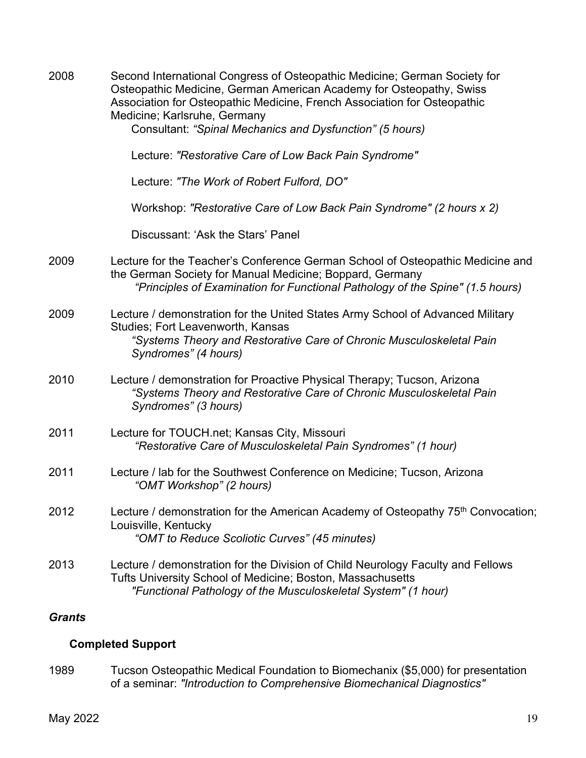| 2008          | Second International Congress of Osteopathic Medicine; German Society for<br>Osteopathic Medicine, German American Academy for Osteopathy, Swiss<br>Association for Osteopathic Medicine, French Association for Osteopathic<br>Medicine; Karlsruhe, Germany<br>Consultant: "Spinal Mechanics and Dysfunction" (5 hours) |
|---------------|--------------------------------------------------------------------------------------------------------------------------------------------------------------------------------------------------------------------------------------------------------------------------------------------------------------------------|
|               | Lecture: "Restorative Care of Low Back Pain Syndrome"                                                                                                                                                                                                                                                                    |
|               | Lecture: "The Work of Robert Fulford, DO"                                                                                                                                                                                                                                                                                |
|               | Workshop: "Restorative Care of Low Back Pain Syndrome" (2 hours x 2)                                                                                                                                                                                                                                                     |
|               | Discussant: 'Ask the Stars' Panel                                                                                                                                                                                                                                                                                        |
| 2009          | Lecture for the Teacher's Conference German School of Osteopathic Medicine and<br>the German Society for Manual Medicine; Boppard, Germany<br>"Principles of Examination for Functional Pathology of the Spine" (1.5 hours)                                                                                              |
| 2009          | Lecture / demonstration for the United States Army School of Advanced Military<br>Studies; Fort Leavenworth, Kansas<br>"Systems Theory and Restorative Care of Chronic Musculoskeletal Pain<br>Syndromes" (4 hours)                                                                                                      |
| 2010          | Lecture / demonstration for Proactive Physical Therapy; Tucson, Arizona<br>"Systems Theory and Restorative Care of Chronic Musculoskeletal Pain<br>Syndromes" (3 hours)                                                                                                                                                  |
| 2011          | Lecture for TOUCH.net; Kansas City, Missouri<br>"Restorative Care of Musculoskeletal Pain Syndromes" (1 hour)                                                                                                                                                                                                            |
| 2011          | Lecture / lab for the Southwest Conference on Medicine; Tucson, Arizona<br>"OMT Workshop" (2 hours)                                                                                                                                                                                                                      |
| 2012          | Lecture / demonstration for the American Academy of Osteopathy 75 <sup>th</sup> Convocation;<br>Louisville, Kentucky<br>"OMT to Reduce Scoliotic Curves" (45 minutes)                                                                                                                                                    |
| 2013          | Lecture / demonstration for the Division of Child Neurology Faculty and Fellows<br>Tufts University School of Medicine; Boston, Massachusetts<br>"Functional Pathology of the Musculoskeletal System" (1 hour)                                                                                                           |
| <b>Grants</b> |                                                                                                                                                                                                                                                                                                                          |

# **Completed Support**

1989 Tucson Osteopathic Medical Foundation to Biomechanix (\$5,000) for presentation of a seminar: *"Introduction to Comprehensive Biomechanical Diagnostics"*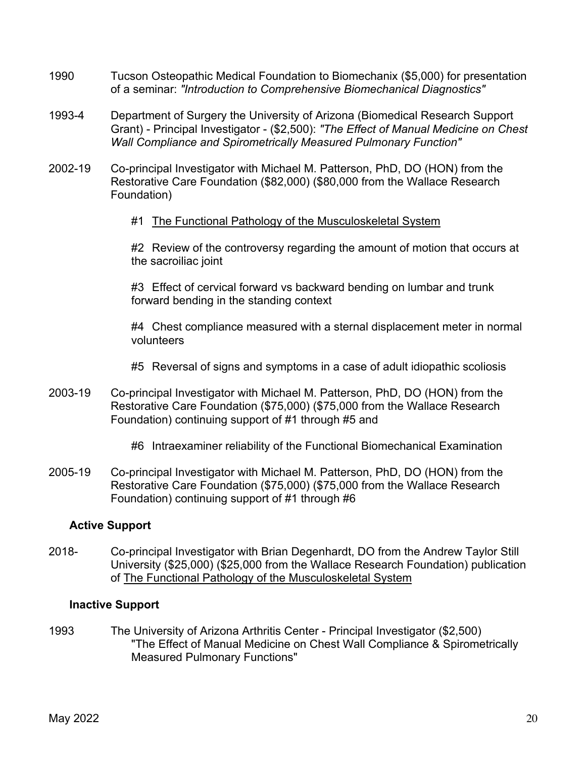- 1990 Tucson Osteopathic Medical Foundation to Biomechanix (\$5,000) for presentation of a seminar: *"Introduction to Comprehensive Biomechanical Diagnostics"*
- 1993-4 Department of Surgery the University of Arizona (Biomedical Research Support Grant) - Principal Investigator - (\$2,500): *"The Effect of Manual Medicine on Chest Wall Compliance and Spirometrically Measured Pulmonary Function"*
- 2002-19 Co-principal Investigator with Michael M. Patterson, PhD, DO (HON) from the Restorative Care Foundation (\$82,000) (\$80,000 from the Wallace Research Foundation)
	- #1 The Functional Pathology of the Musculoskeletal System

#2 Review of the controversy regarding the amount of motion that occurs at the sacroiliac joint

#3 Effect of cervical forward vs backward bending on lumbar and trunk forward bending in the standing context

#4 Chest compliance measured with a sternal displacement meter in normal volunteers

#5 Reversal of signs and symptoms in a case of adult idiopathic scoliosis

2003-19 Co-principal Investigator with Michael M. Patterson, PhD, DO (HON) from the Restorative Care Foundation (\$75,000) (\$75,000 from the Wallace Research Foundation) continuing support of #1 through #5 and

#6 Intraexaminer reliability of the Functional Biomechanical Examination

2005-19 Co-principal Investigator with Michael M. Patterson, PhD, DO (HON) from the Restorative Care Foundation (\$75,000) (\$75,000 from the Wallace Research Foundation) continuing support of #1 through #6

### **Active Support**

2018- Co-principal Investigator with Brian Degenhardt, DO from the Andrew Taylor Still University (\$25,000) (\$25,000 from the Wallace Research Foundation) publication of The Functional Pathology of the Musculoskeletal System

### **Inactive Support**

1993 The University of Arizona Arthritis Center - Principal Investigator (\$2,500) "The Effect of Manual Medicine on Chest Wall Compliance & Spirometrically Measured Pulmonary Functions"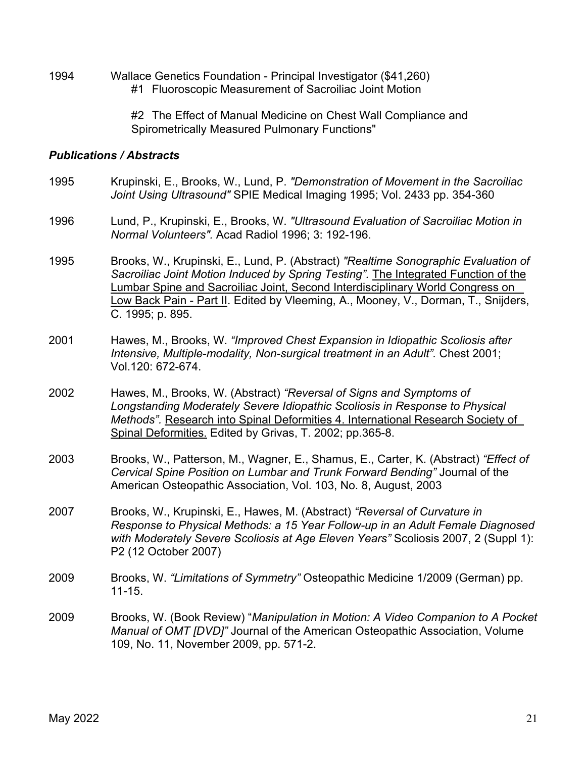1994 Wallace Genetics Foundation - Principal Investigator (\$41,260) #1 Fluoroscopic Measurement of Sacroiliac Joint Motion

> #2 The Effect of Manual Medicine on Chest Wall Compliance and Spirometrically Measured Pulmonary Functions"

#### *Publications / Abstracts*

- 1995 Krupinski, E., Brooks, W., Lund, P. *"Demonstration of Movement in the Sacroiliac Joint Using Ultrasound"* SPIE Medical Imaging 1995; Vol. 2433 pp. 354-360
- 1996 Lund, P., Krupinski, E., Brooks, W. *"Ultrasound Evaluation of Sacroiliac Motion in Normal Volunteers".* Acad Radiol 1996; 3: 192-196.
- 1995 Brooks, W., Krupinski, E., Lund, P. (Abstract) *"Realtime Sonographic Evaluation of Sacroiliac Joint Motion Induced by Spring Testing".* The Integrated Function of the Lumbar Spine and Sacroiliac Joint, Second Interdisciplinary World Congress on Low Back Pain - Part II. Edited by Vleeming, A., Mooney, V., Dorman, T., Snijders, C. 1995; p. 895.
- 2001 Hawes, M., Brooks, W. *"Improved Chest Expansion in Idiopathic Scoliosis after Intensive, Multiple-modality, Non-surgical treatment in an Adult".* Chest 2001; Vol.120: 672-674.
- 2002 Hawes, M., Brooks, W. (Abstract) *"Reversal of Signs and Symptoms of Longstanding Moderately Severe Idiopathic Scoliosis in Response to Physical Methods".* Research into Spinal Deformities 4. International Research Society of Spinal Deformities. Edited by Grivas, T. 2002; pp.365-8.
- 2003 Brooks, W., Patterson, M., Wagner, E., Shamus, E., Carter, K. (Abstract) *"Effect of Cervical Spine Position on Lumbar and Trunk Forward Bending"* Journal of the American Osteopathic Association, Vol. 103, No. 8, August, 2003
- 2007 Brooks, W., Krupinski, E., Hawes, M. (Abstract) *"Reversal of Curvature in Response to Physical Methods: a 15 Year Follow-up in an Adult Female Diagnosed with Moderately Severe Scoliosis at Age Eleven Years"* Scoliosis 2007, 2 (Suppl 1): P2 (12 October 2007)
- 2009 Brooks, W. *"Limitations of Symmetry"* Osteopathic Medicine 1/2009 (German) pp. 11-15.
- 2009 Brooks, W. (Book Review) "*Manipulation in Motion: A Video Companion to A Pocket Manual of OMT [DVD]"* Journal of the American Osteopathic Association, Volume 109, No. 11, November 2009, pp. 571-2.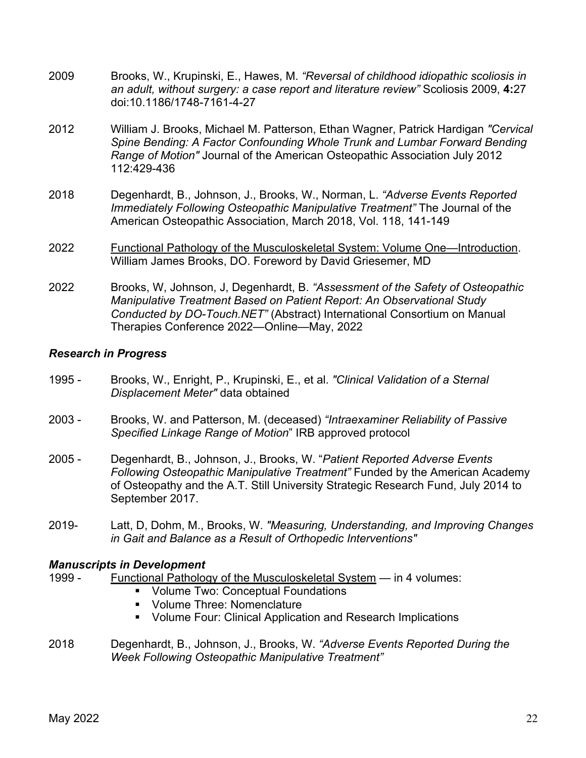- 2009 Brooks, W., Krupinski, E., Hawes, M. *"Reversal of childhood idiopathic scoliosis in an adult, without surgery: a case report and literature review"* Scoliosis 2009, **4:**27 doi:10.1186/1748-7161-4-27
- 2012 William J. Brooks, Michael M. Patterson, Ethan Wagner, Patrick Hardigan *"Cervical Spine Bending: A Factor Confounding Whole Trunk and Lumbar Forward Bending Range of Motion"* Journal of the American Osteopathic Association July 2012 112:429-436
- 2018 Degenhardt, B., Johnson, J., Brooks, W., Norman, L. *"Adverse Events Reported Immediately Following Osteopathic Manipulative Treatment"* The Journal of the American Osteopathic Association, March 2018, Vol. 118, 141-149
- 2022 Functional Pathology of the Musculoskeletal System: Volume One—Introduction. William James Brooks, DO. Foreword by David Griesemer, MD
- 2022 Brooks, W, Johnson, J, Degenhardt, B. *"Assessment of the Safety of Osteopathic Manipulative Treatment Based on Patient Report: An Observational Study Conducted by DO-Touch.NET"* (Abstract) International Consortium on Manual Therapies Conference 2022—Online—May, 2022

### *Research in Progress*

- 1995 Brooks, W., Enright, P., Krupinski, E., et al. *"Clinical Validation of a Sternal Displacement Meter"* data obtained
- 2003 Brooks, W. and Patterson, M. (deceased) *"Intraexaminer Reliability of Passive Specified Linkage Range of Motion*" IRB approved protocol
- 2005 Degenhardt, B., Johnson, J., Brooks, W. "*Patient Reported Adverse Events Following Osteopathic Manipulative Treatment"* Funded by the American Academy of Osteopathy and the A.T. Still University Strategic Research Fund, July 2014 to September 2017.
- 2019- Latt, D, Dohm, M., Brooks, W. *"Measuring, Understanding, and Improving Changes in Gait and Balance as a Result of Orthopedic Interventions"*

### *Manuscripts in Development*

- 1999 Functional Pathology of the Musculoskeletal System in 4 volumes:
	- Volume Two: Conceptual Foundations
	- Volume Three: Nomenclature
	- Volume Four: Clinical Application and Research Implications
- 2018 Degenhardt, B., Johnson, J., Brooks, W. *"Adverse Events Reported During the Week Following Osteopathic Manipulative Treatment"*